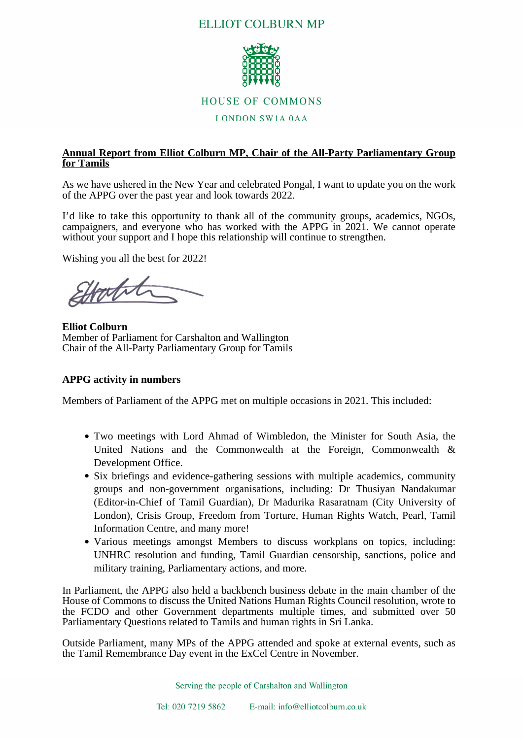# **ELLIOT COLBURN MP**



### **HOUSE OF COMMONS**

#### **LONDON SW1A 0AA**

## **Annual Report from Elliot Colburn MP, Chair of the All-Party Parliamentary Group for Tamils**

As we have ushered in the New Year and celebrated Pongal, I want to update you on the work of the APPG over the past year and look towards 2022.

I'd like to take this opportunity to thank all of the community groups, academics, NGOs, campaigners, and everyone who has worked with the APPG in 2021. We cannot operate without your support and I hope this relationship will continue to strengthen.

Wishing you all the best for 2022!

Hontit

**Elliot Colburn** Member of Parliament for Carshalton and Wallington Chair of the All-Party Parliamentary Group for Tamils

#### **APPG activity in numbers**

Members of Parliament of the APPG met on multiple occasions in 2021. This included:

- Two meetings with Lord Ahmad of Wimbledon, the Minister for South Asia, the United Nations and the Commonwealth at the Foreign, Commonwealth & Development Office.
- Six briefings and evidence-gathering sessions with multiple academics, community groups and non-government organisations, including: Dr Thusiyan Nandakumar (Editor-in-Chief of Tamil Guardian), Dr Madurika Rasaratnam (City University of London), Crisis Group, Freedom from Torture, Human Rights Watch, Pearl, Tamil Information Centre, and many more!
- Various meetings amongst Members to discuss workplans on topics, including: UNHRC resolution and funding, Tamil Guardian censorship, sanctions, police and military training, Parliamentary actions, and more.

In Parliament, the APPG also held a backbench business debate in the main chamber of the House of Commons to discuss the United Nations Human Rights Council resolution, wrote to the FCDO and other Government departments multiple times, and submitted over 50 Parliamentary Questions related to Tamils and human rights in Sri Lanka.

Outside Parliament, many MPs of the APPG attended and spoke at external events, such as the Tamil Remembrance Day event in the ExCel Centre in November.

Serving the people of Carshalton and Wallington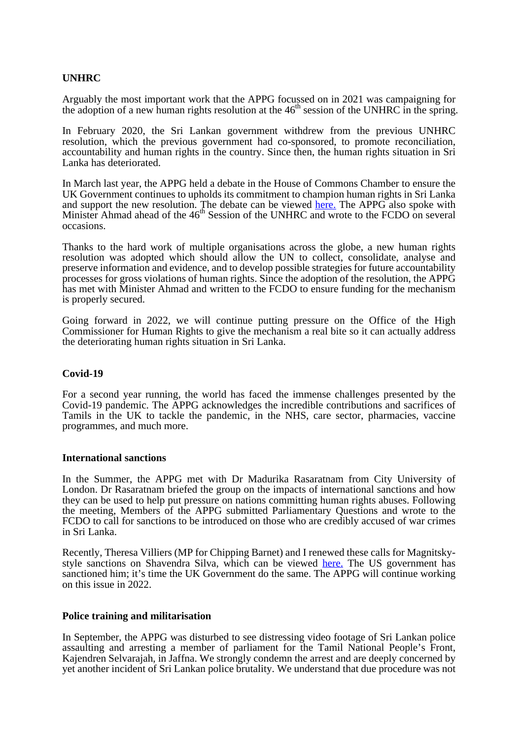## **UNHRC**

Arguably the most important work that the APPG focussed on in 2021 was campaigning for the adoption of a new human rights resolution at the  $46<sup>th</sup>$  session of the UNHRC in the spring.

In February 2020, the Sri Lankan government withdrew from the previous UNHRC resolution, which the previous government had co-sponsored, to promote reconciliation, accountability and human rights in the country. Since then, the human rights situation in Sri Lanka has deteriorated.

In March last year, the APPG held a debate in the House of Commons Chamber to ensure the UK Government continues to upholds its commitment to champion human rights in Sri Lanka and support the new resolution. The debate can be viewe[d here](https://parliamentlive.tv/event/index/d0187d02-3cde-48eb-ba83-e5689a30d196?in=14:02:30). The APPG also spoke with Minister Ahmad ahead of the 46<sup>th</sup> Session of the UNHRC and wrote to the FCDO on several occasions.

Thanks to the hard work of multiple organisations across the globe, a new human rights resolution was adopted which should allow the UN to collect, consolidate, analyse and preserve information and evidence, and to develop possible strategies for future accountability processes for gross violations of human rights. Since the adoption of the resolution, the APPG has met with Minister Ahmad and written to the FCDO to ensure funding for the mechanism is properly secured.

Going forward in 2022, we will continue putting pressure on the Office of the High Commissioner for Human Rights to give the mechanism a real bite so it can actually address the deteriorating human rights situation in Sri Lanka.

#### **Covid-19**

For a second year running, the world has faced the immense challenges presented by the Covid-19 pandemic. The APPG acknowledges the incredible contributions and sacrifices of Tamils in the UK to tackle the pandemic, in the NHS, care sector, pharmacies, vaccine programmes, and much more.

#### **International sanctions**

In the Summer, the APPG met with Dr Madurika Rasaratnam from City University of London. Dr Rasaratnam briefed the group on the impacts of international sanctions and how they can be used to help put pressure on nations committing human rights abuses. Following the meeting, Members of the APPG submitted Parliamentary Questions and wrote to the FCDO to call for sanctions to be introduced on those who are credibly accused of war crimes in Sri Lanka.

Recently, Theresa Villiers (MP for Chipping Barnet) and I renewed these calls for Magnitskystyle sanctions on Shavendra Silva, which can be vie[wed h](https://www.tamilguardian.com/content/we-will-not-tolerate-human-rights-abuses-british-mps-call-sanctions-shavendra-silva)ere. The US government has sanctioned him; it's time the UK Government do the same. The APPG will continue working on this issue in 2022.

#### **Police training and militarisation**

In September, the APPG was disturbed to see distressing video footage of Sri Lankan police assaulting and arresting a member of parliament for the Tamil National People's Front, Kajendren Selvarajah, in Jaffna. We strongly condemn the arrest and are deeply concerned by yet another incident of Sri Lankan police brutality. We understand that due procedure was not